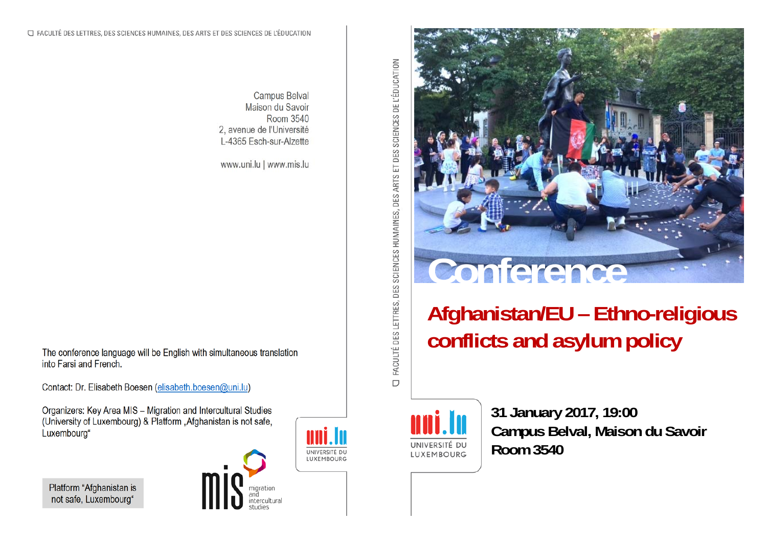

## **Afghanistan/EU – Ethno-religious conflicts and asylum policy**



 **31 January 2017, 19:00 Campus Belval, Maison du Savoir LUXEMBOURG Room 3540** 

FACULTÉ DES LETTRES, DES SCIENCES HUMAINES, DES ARTS ET DES SCIENCES DE L'ÉDUCATION  $\Box$ 

Campus Belval Maison du Savoir Room 3540 2, avenue de l'Université L-4365 Esch-sur-Alzette

www.uni.lu | www.mis.lu

The conference language will be English with simultaneous translation into Farsi and French.

Contact: Dr. Elisabeth Boesen (elisabeth.boesen@uni.lu)

Organizers: Key Area MIS – Migration and Intercultural Studies (University of Luxembourg) & Platform "Afghanistan is not safe, Luxembourg"

Platform "Afghanistan is not safe, Luxembourg"



UNIVERSITÉ DU LUXEMBOURG